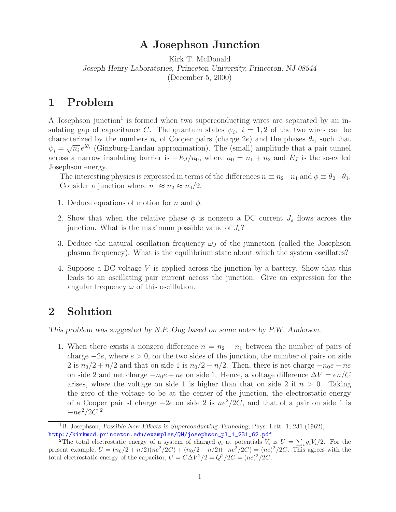## **A Josephson Junction**

Kirk T. McDonald *Joseph Henry Laboratories, Princeton University, Princeton, NJ 08544* (December 5, 2000)

## **1 Problem**

A Josephson junction<sup>1</sup> is formed when two superconducting wires are separated by an insulating gap of capacitance C. The quantum states  $\psi_i$ ,  $i = 1, 2$  of the two wires can be characterized by the numbers  $n_i$  of Cooper pairs (charge 2e) and the phases  $\theta_i$ , such that  $\psi_i = \sqrt{n_i} e^{i\theta_i}$  (Ginzburg-Landau approximation). The (small) amplitude that a pair tunnel across a narrow insulating barrier is  $-E_J/n_0$ , where  $n_0 = n_1 + n_2$  and  $E_J$  is the so-called Josephson energy.

The interesting physics is expressed in terms of the differences  $n \equiv n_2 - n_1$  and  $\phi \equiv \theta_2 - \theta_1$ . Consider a junction where  $n_1 \approx n_2 \approx n_0/2$ .

- 1. Deduce equations of motion for n and  $\phi$ .
- 2. Show that when the relative phase  $\phi$  is nonzero a DC current  $J_s$  flows across the junction. What is the maximum possible value of  $J_s$ ?
- 3. Deduce the natural oscillation frequency  $\omega_J$  of the junnction (called the Josephson plasma frequency). What is the equilibrium state about which the system oscillates?
- 4. Suppose a DC voltage V is applied across the junction by a battery. Show that this leads to an oscillating pair current across the junction. Give an expression for the angular frequency  $\omega$  of this oscillation.

## **2 Solution**

*This problem was suggested by N.P. Ong based on some notes by P.W. Anderson.*

1. When there exists a nonzero difference  $n = n_2 - n_1$  between the number of pairs of charge  $-2e$ , where  $e > 0$ , on the two sides of the junction, the number of pairs on side 2 is  $n_0/2 + n/2$  and that on side 1 is  $n_0/2 - n/2$ . Then, there is net charge  $-n_0e - ne$ on side 2 and net charge  $-n_0e + ne$  on side 1. Hence, a voltage difference  $\Delta V = en/C$ arises, where the voltage on side 1 is higher than that on side 2 if  $n > 0$ . Taking the zero of the voltage to be at the center of the junction, the electrostatic energy of a Cooper pair sf charge  $-2e$  on side 2 is  $ne^2/2C$ , and that of a pair on side 1 is  $-ne^{2}/2C$ .<sup>2</sup>

<sup>1</sup>B. Josephson, *Possible New Effects in Superconducting Tunneling*, Phys. Lett. **1**, 231 (1962), http://kirkmcd.princeton.edu/examples/QM/josephson\_pl\_1\_231\_62.pdf

<sup>&</sup>lt;sup>2</sup>The total electrostatic energy of a system of charged  $q_i$  at potentials  $V_i$  is  $U = \sum_i q_i V_i/2$ . For the present example,  $U = (n_0/2 + n/2)(ne^2/2C) + (n_0/2 - n/2)(-ne^2/2C) = (ne)^2/2C$ . This agrees with the total electrostatic energy of the capacitor,  $U = C\Delta V^2/2 = Q^2/2C = (ne)^2/2C$ .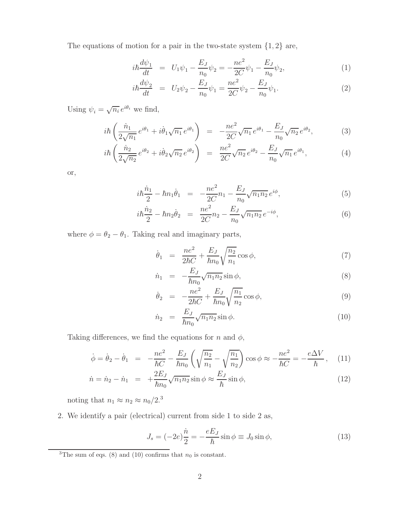The equations of motion for a pair in the two-state system  $\{1, 2\}$  are,

$$
i\hbar \frac{d\psi_1}{dt} = U_1 \psi_1 - \frac{E_J}{n_0} \psi_2 = -\frac{ne^2}{2C} \psi_1 - \frac{E_J}{n_0} \psi_2,\tag{1}
$$

$$
i\hbar \frac{d\psi_2}{dt} = U_2 \psi_2 - \frac{E_J}{n_0} \psi_1 = \frac{ne^2}{2C} \psi_2 - \frac{E_J}{n_0} \psi_1.
$$
 (2)

Using  $\psi_i = \sqrt{n_i} e^{i\theta_i}$  we find,

$$
i\hbar \left(\frac{\dot{n}_1}{2\sqrt{n_1}}e^{i\theta_1} + i\dot{\theta}_1\sqrt{n_1}e^{i\theta_1}\right) = -\frac{ne^2}{2C}\sqrt{n_1}e^{i\theta_1} - \frac{E_J}{n_0}\sqrt{n_2}e^{i\theta_2},\tag{3}
$$

$$
i\hbar \left(\frac{\dot{n}_2}{2\sqrt{n_2}}e^{i\theta_2} + i\dot{\theta}_2\sqrt{n_2}e^{i\theta_2}\right) = \frac{ne^2}{2C}\sqrt{n_2}e^{i\theta_2} - \frac{E_J}{n_0}\sqrt{n_1}e^{i\theta_1},\tag{4}
$$

or,

$$
i\hbar\frac{\dot{n}_1}{2} - \hbar n_1 \dot{\theta}_1 = -\frac{ne^2}{2C}n_1 - \frac{E_J}{n_0}\sqrt{n_1 n_2}e^{i\phi},\tag{5}
$$

$$
i\hbar \frac{\dot{n}_2}{2} - \hbar n_2 \dot{\theta}_2 = \frac{ne^2}{2C} n_2 - \frac{E_J}{n_0} \sqrt{n_1 n_2} e^{-i\phi}, \tag{6}
$$

where  $\phi = \theta_2 - \theta_1$ . Taking real and imaginary parts,

$$
\dot{\theta}_1 = \frac{ne^2}{2\hbar C} + \frac{E_J}{\hbar n_0} \sqrt{\frac{n_2}{n_1}} \cos \phi, \tag{7}
$$

$$
\dot{n}_1 = -\frac{E_J}{\hbar n_0} \sqrt{n_1 n_2} \sin \phi, \qquad (8)
$$

$$
\dot{\theta}_2 = -\frac{ne^2}{2\hbar C} + \frac{E_J}{\hbar n_0} \sqrt{\frac{n_1}{n_2}} \cos \phi, \tag{9}
$$

$$
\dot{n}_2 = \frac{E_J}{\hbar n_0} \sqrt{n_1 n_2} \sin \phi. \tag{10}
$$

Taking differences, we find the equations for n and  $\phi$ ,

$$
\dot{\phi} = \dot{\theta}_2 - \dot{\theta}_1 = -\frac{ne^2}{\hbar C} - \frac{E_J}{\hbar n_0} \left( \sqrt{\frac{n_2}{n_1}} - \sqrt{\frac{n_1}{n_2}} \right) \cos \phi \approx -\frac{ne^2}{\hbar C} = -\frac{e\Delta V}{\hbar}, \quad (11)
$$

$$
\dot{n} = \dot{n}_2 - \dot{n}_1 = +\frac{2E_J}{\hbar n_0} \sqrt{n_1 n_2} \sin \phi \approx \frac{E_J}{\hbar} \sin \phi, \tag{12}
$$

noting that  $n_1 \approx n_2 \approx n_0/2.3$ 

2. We identify a pair (electrical) current from side 1 to side 2 as,

$$
J_s = (-2e)\frac{\dot{n}}{2} = -\frac{eE_J}{\hbar}\sin\phi \equiv J_0\sin\phi,\tag{13}
$$

<sup>&</sup>lt;sup>3</sup>The sum of eqs. (8) and (10) confirms that  $n_0$  is constant.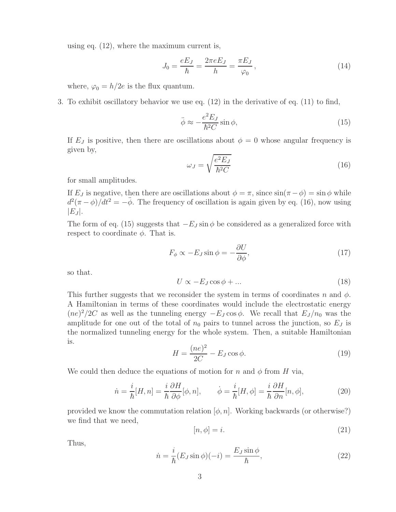using eq. (12), where the maximum current is,

$$
J_0 = \frac{eE_J}{\hbar} = \frac{2\pi eE_J}{h} = \frac{\pi E_J}{\varphi_0},
$$
\n(14)

where,  $\varphi_0 = h/2e$  is the flux quantum.

3. To exhibit oscillatory behavior we use eq. (12) in the derivative of eq. (11) to find,

$$
\ddot{\phi} \approx -\frac{e^2 E_J}{\hbar^2 C} \sin \phi,\tag{15}
$$

If  $E_J$  is positive, then there are oscillations about  $\phi = 0$  whose angular frequency is given by,

$$
\omega_J = \sqrt{\frac{e^2 E_J}{\hbar^2 C}}\tag{16}
$$

for small amplitudes.

If  $E_J$  is negative, then there are oscillations about  $\phi = \pi$ , since  $\sin(\pi - \phi) = \sin \phi$  while  $d^2(\pi - \phi)/dt^2 = -\ddot{\phi}$ . The frequency of oscillation is again given by eq. (16), now using  $|E_J|$ .

The form of eq. (15) suggests that  $-E_J \sin \phi$  be considered as a generalized force with respect to coordinate  $\phi$ . That is.

$$
F_{\phi} \propto -E_J \sin \phi = -\frac{\partial U}{\partial \phi},\tag{17}
$$

so that.

$$
U \propto -E_J \cos \phi + \dots \tag{18}
$$

This further suggests that we reconsider the system in terms of coordinates n and  $\phi$ . A Hamiltonian in terms of these coordinates would include the electrostatic energy  $(ne)^{2}/2C$  as well as the tunneling energy  $-E_J \cos \phi$ . We recall that  $E_J/n_0$  was the amplitude for one out of the total of  $n_0$  pairs to tunnel across the junction, so  $E_J$  is the normalized tunneling energy for the whole system. Then, a suitable Hamiltonian is.

$$
H = \frac{(ne)^2}{2C} - E_J \cos \phi.
$$
\n<sup>(19)</sup>

We could then deduce the equations of motion for n and  $\phi$  from H via,

$$
\dot{n} = \frac{i}{\hbar}[H, n] = \frac{i}{\hbar}\frac{\partial H}{\partial \phi}[\phi, n], \qquad \dot{\phi} = \frac{i}{\hbar}[H, \phi] = \frac{i}{\hbar}\frac{\partial H}{\partial n}[n, \phi],
$$
\n(20)

provided we know the commutation relation  $[\phi, n]$ . Working backwards (or otherwise?) we find that we need,

$$
[n, \phi] = i. \tag{21}
$$

Thus,

$$
\dot{n} = \frac{i}{\hbar} (E_J \sin \phi)(-i) = \frac{E_J \sin \phi}{\hbar},\tag{22}
$$